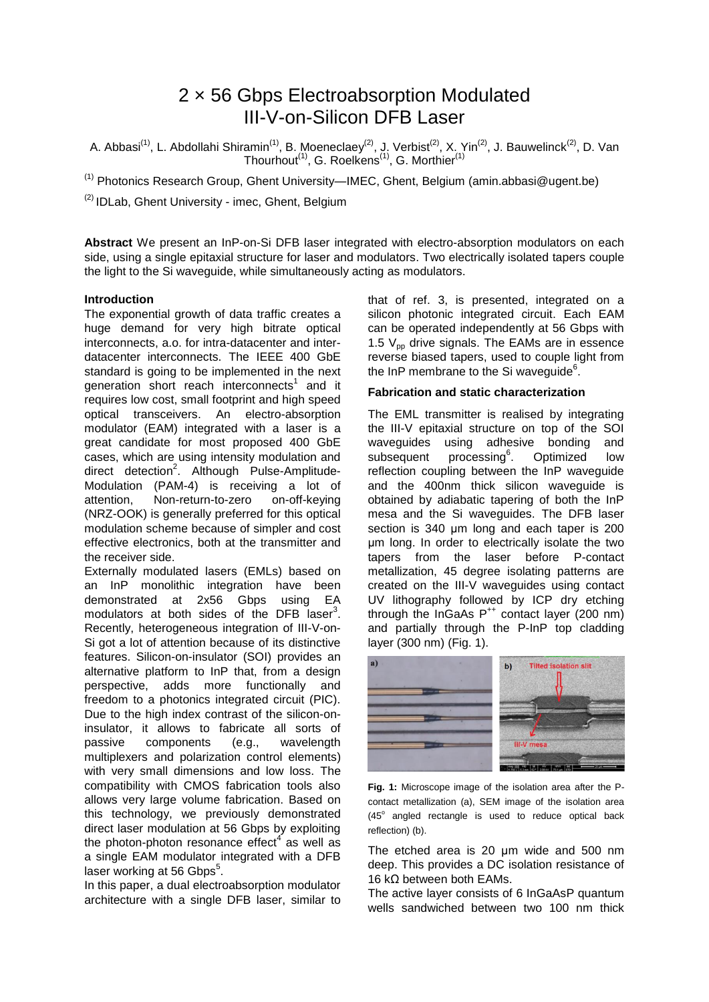# 2 × 56 Gbps Electroabsorption Modulated III-V-on-Silicon DFB Laser

A. Abbasi<sup>(1)</sup>, L. Abdollahi Shiramin<sup>(1)</sup>, B. Moeneclaey<sup>(2)</sup>, J. Verbist<sup>(2)</sup>, X. Yin<sup>(2)</sup>, J. Bauwelinck<sup>(2)</sup>, D. Van Thourhout<sup>(1)</sup>, G. Roelkens<sup>(1)</sup>, G. Morthier<sup>(1)</sup>

<sup>(1)</sup> Photonics Research Group, Ghent University—IMEC, Ghent, Belgium (amin.abbasi@ugent.be)

(2) IDLab, Ghent University - imec, Ghent, Belgium

**Abstract** We present an InP-on-Si DFB laser integrated with electro-absorption modulators on each side, using a single epitaxial structure for laser and modulators. Two electrically isolated tapers couple the light to the Si waveguide, while simultaneously acting as modulators.

## **Introduction**

The exponential growth of data traffic creates a huge demand for very high bitrate optical interconnects, a.o. for intra-datacenter and interdatacenter interconnects. The IEEE 400 GbE standard is going to be implemented in the next generation short reach interconnects<sup>1</sup> and it requires low cost, small footprint and high speed optical transceivers. An electro-absorption modulator (EAM) integrated with a laser is a great candidate for most proposed 400 GbE cases, which are using intensity modulation and direct detection<sup>2</sup>. Although Pulse-Amplitude-Modulation (PAM-4) is receiving a lot of attention, Non-return-to-zero on-off-keying (NRZ-OOK) is generally preferred for this optical modulation scheme because of simpler and cost effective electronics, both at the transmitter and the receiver side.

Externally modulated lasers (EMLs) based on an InP monolithic integration have been demonstrated at 2x56 Gbps using EA modulators at both sides of the DFB laser<sup>3</sup>. Recently, heterogeneous integration of III-V-on-Si got a lot of attention because of its distinctive features. Silicon-on-insulator (SOI) provides an alternative platform to InP that, from a design perspective, adds more functionally and freedom to a photonics integrated circuit (PIC). Due to the high index contrast of the silicon-oninsulator, it allows to fabricate all sorts of passive components (e.g., wavelength multiplexers and polarization control elements) with very small dimensions and low loss. The compatibility with CMOS fabrication tools also allows very large volume fabrication. Based on this technology, we previously demonstrated direct laser modulation at 56 Gbps by exploiting the photon-photon resonance effect<sup>4</sup> as well as a single EAM modulator integrated with a DFB laser working at 56 Gbps<sup>5</sup>.

In this paper, a dual electroabsorption modulator architecture with a single DFB laser, similar to

that of ref. 3, is presented, integrated on a silicon photonic integrated circuit. Each EAM can be operated independently at 56 Gbps with 1.5  $V_{\text{op}}$  drive signals. The EAMs are in essence reverse biased tapers, used to couple light from the InP membrane to the Si waveguide $^6$ .

## **Fabrication and static characterization**

The EML transmitter is realised by integrating the III-V epitaxial structure on top of the SOI waveguides using adhesive bonding and subsequent processing<sup>6</sup>. . Optimized low reflection coupling between the InP waveguide and the 400nm thick silicon waveguide is obtained by adiabatic tapering of both the InP mesa and the Si waveguides. The DFB laser section is 340 μm long and each taper is 200 μm long. In order to electrically isolate the two tapers from the laser before P-contact metallization, 45 degree isolating patterns are created on the III-V waveguides using contact UV lithography followed by ICP dry etching through the InGaAs  $P^{++}$  contact layer (200 nm) and partially through the P-InP top cladding layer (300 nm) (Fig. 1).



**Fig. 1:** Microscope image of the isolation area after the Pcontact metallization (a), SEM image of the isolation area (45° angled rectangle is used to reduce optical back reflection) (b).

The etched area is 20 μm wide and 500 nm deep. This provides a DC isolation resistance of 16 kΩ between both EAMs.

The active layer consists of 6 InGaAsP quantum wells sandwiched between two 100 nm thick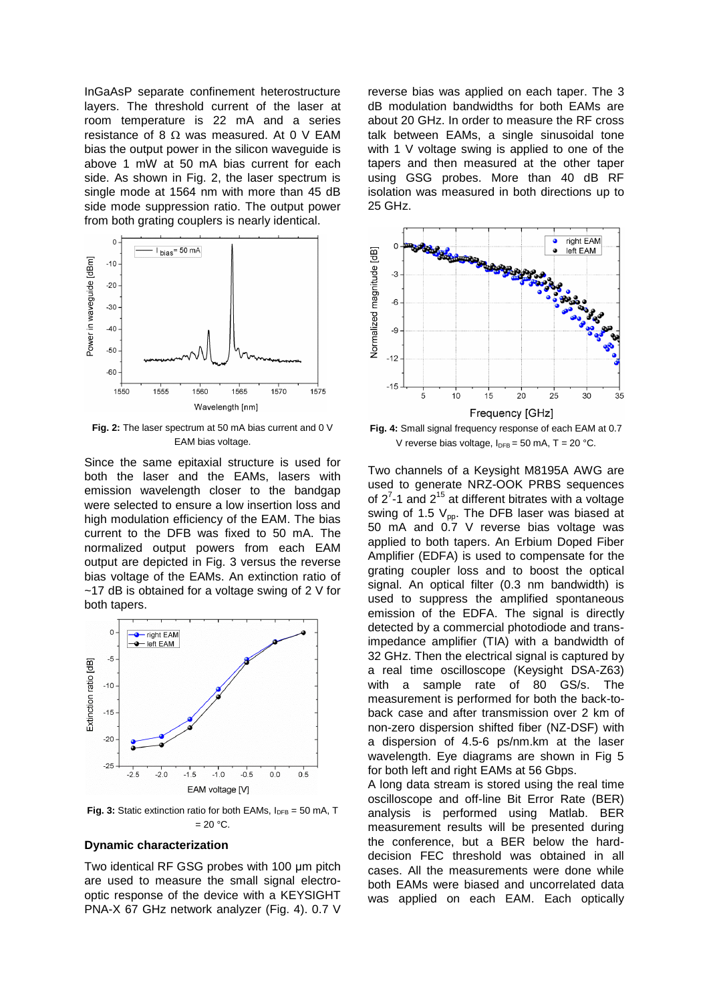InGaAsP separate confinement heterostructure layers. The threshold current of the laser at room temperature is 22 mA and a series resistance of 8  $\Omega$  was measured. At 0 V EAM bias the output power in the silicon waveguide is above 1 mW at 50 mA bias current for each side. As shown in Fig. 2, the laser spectrum is single mode at 1564 nm with more than 45 dB side mode suppression ratio. The output power from both grating couplers is nearly identical.



**Fig. 2:** The laser spectrum at 50 mA bias current and 0 V EAM bias voltage.

Since the same epitaxial structure is used for both the laser and the EAMs, lasers with emission wavelength closer to the bandgap were selected to ensure a low insertion loss and high modulation efficiency of the EAM. The bias current to the DFB was fixed to 50 mA. The normalized output powers from each EAM output are depicted in Fig. 3 versus the reverse bias voltage of the EAMs. An extinction ratio of ~17 dB is obtained for a voltage swing of 2 V for both tapers.



**Fig. 3:** Static extinction ratio for both EAMs,  $I_{DFB} = 50$  mA, T  $= 20 °C$ .

#### **Dynamic characterization**

Two identical RF GSG probes with 100 μm pitch are used to measure the small signal electrooptic response of the device with a KEYSIGHT PNA-X 67 GHz network analyzer (Fig. 4). 0.7 V

reverse bias was applied on each taper. The 3 dB modulation bandwidths for both EAMs are about 20 GHz. In order to measure the RF cross talk between EAMs, a single sinusoidal tone with 1 V voltage swing is applied to one of the tapers and then measured at the other taper using GSG probes. More than 40 dB RF isolation was measured in both directions up to 25 GHz.



**Fig. 4:** Small signal frequency response of each EAM at 0.7 V reverse bias voltage,  $I_{DFB} = 50$  mA, T = 20 °C.

Two channels of a Keysight M8195A AWG are used to generate NRZ-OOK PRBS sequences of  $2^7$ -1 and  $2^{15}$  at different bitrates with a voltage swing of 1.5  $V_{\text{pp}}$ . The DFB laser was biased at 50 mA and 0.7 V reverse bias voltage was applied to both tapers. An Erbium Doped Fiber Amplifier (EDFA) is used to compensate for the grating coupler loss and to boost the optical signal. An optical filter (0.3 nm bandwidth) is used to suppress the amplified spontaneous emission of the EDFA. The signal is directly detected by a commercial photodiode and transimpedance amplifier (TIA) with a bandwidth of 32 GHz. Then the electrical signal is captured by a real time oscilloscope (Keysight DSA-Z63) with a sample rate of 80 GS/s. The measurement is performed for both the back-toback case and after transmission over 2 km of non-zero dispersion shifted fiber (NZ-DSF) with a dispersion of 4.5-6 ps/nm.km at the laser wavelength. Eye diagrams are shown in Fig 5 for both left and right EAMs at 56 Gbps.

A long data stream is stored using the real time oscilloscope and off-line Bit Error Rate (BER) analysis is performed using Matlab. BER measurement results will be presented during the conference, but a BER below the harddecision FEC threshold was obtained in all cases. All the measurements were done while both EAMs were biased and uncorrelated data was applied on each EAM. Each optically